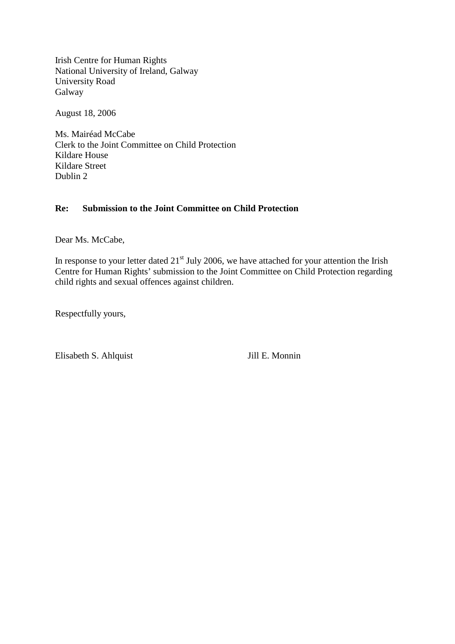Irish Centre for Human Rights National University of Ireland, Galway University Road **Galway** 

August 18, 2006

Ms. Mairéad McCabe Clerk to the Joint Committee on Child Protection Kildare House Kildare Street Dublin 2

## **Re: Submission to the Joint Committee on Child Protection**

Dear Ms. McCabe,

In response to your letter dated  $21<sup>st</sup>$  July 2006, we have attached for your attention the Irish Centre for Human Rights' submission to the Joint Committee on Child Protection regarding child rights and sexual offences against children.

Respectfully yours,

Elisabeth S. Ahlquist Jill E. Monnin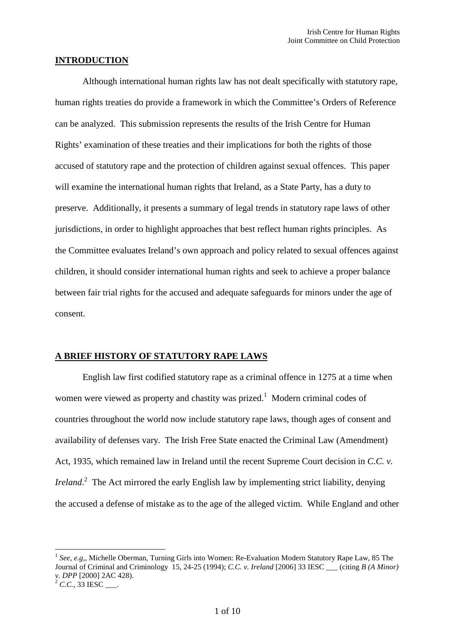### **INTRODUCTION**

Although international human rights law has not dealt specifically with statutory rape, human rights treaties do provide a framework in which the Committee's Orders of Reference can be analyzed. This submission represents the results of the Irish Centre for Human Rights' examination of these treaties and their implications for both the rights of those accused of statutory rape and the protection of children against sexual offences. This paper will examine the international human rights that Ireland, as a State Party, has a duty to preserve. Additionally, it presents a summary of legal trends in statutory rape laws of other jurisdictions, in order to highlight approaches that best reflect human rights principles. As the Committee evaluates Ireland's own approach and policy related to sexual offences against children, it should consider international human rights and seek to achieve a proper balance between fair trial rights for the accused and adequate safeguards for minors under the age of consent.

### **A BRIEF HISTORY OF STATUTORY RAPE LAWS**

English law first codified statutory rape as a criminal offence in 1275 at a time when women were viewed as property and chastity was prized.<sup>[1](#page-1-0)</sup> Modern criminal codes of countries throughout the world now include statutory rape laws, though ages of consent and availability of defenses vary. The Irish Free State enacted the Criminal Law (Amendment) Act, 1935, which remained law in Ireland until the recent Supreme Court decision in *C.C. v. Ireland*. [2](#page-1-1) The Act mirrored the early English law by implementing strict liability, denying the accused a defense of mistake as to the age of the alleged victim. While England and other

<span id="page-1-0"></span><sup>1</sup> *See*, *e.g,*, Michelle Oberman, Turning Girls into Women: Re-Evaluation Modern Statutory Rape Law, 85 The Journal of Criminal and Criminology 15, 24-25 (1994); *C.C. v. Ireland* [2006] 33 IESC \_\_\_ (citing *B (A Minor) v. DPP* [2000] 2AC 428).

<span id="page-1-1"></span><sup>&</sup>lt;sup>2</sup> *C.C.*, 33 IESC \_\_\_.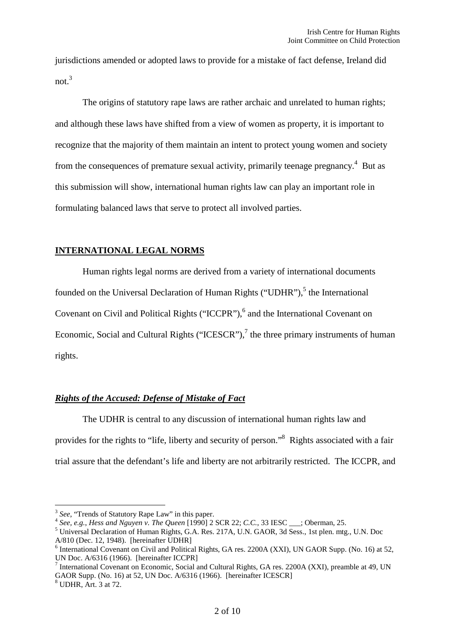jurisdictions amended or adopted laws to provide for a mistake of fact defense, Ireland did not.[3](#page-2-0)

The origins of statutory rape laws are rather archaic and unrelated to human rights; and although these laws have shifted from a view of women as property, it is important to recognize that the majority of them maintain an intent to protect young women and society from the consequences of premature sexual activity, primarily teenage pregnancy.<sup>[4](#page-2-1)</sup> But as this submission will show, international human rights law can play an important role in formulating balanced laws that serve to protect all involved parties.

## **INTERNATIONAL LEGAL NORMS**

Human rights legal norms are derived from a variety of international documents founded on the Universal Declaration of Human Rights ("UDHR"),<sup>[5](#page-2-2)</sup> the International Covenant on Civil and Political Rights ("ICCPR"),<sup>[6](#page-2-3)</sup> and the International Covenant on Economic, Social and Cultural Rights ("ICESCR"), $^7$  $^7$  the three primary instruments of human rights.

# *Rights of the Accused: Defense of Mistake of Fact*

The UDHR is central to any discussion of international human rights law and provides for the rights to "life, liberty and security of person."[8](#page-2-5) Rights associated with a fair trial assure that the defendant's life and liberty are not arbitrarily restricted. The ICCPR, and

<span id="page-2-1"></span><span id="page-2-0"></span><sup>&</sup>lt;sup>3</sup> See, "Trends of Statutory Rape Law" in this paper.

<span id="page-2-2"></span><sup>4</sup> *See, e.g.*, *Hess and Nguyen v. The Queen* [1990] 2 SCR 22; *C.C.*, 33 IESC \_\_\_; Oberman, 25.

<sup>5</sup> Universal Declaration of Human Rights, G.A. Res. 217A, U.N. GAOR, 3d Sess., 1st plen. mtg., U.N. Doc A/810 (Dec. 12, 1948). [hereinafter UDHR]

<span id="page-2-3"></span><sup>&</sup>lt;sup>6</sup> International Covenant on Civil and Political Rights, GA res. 2200A (XXI), UN GAOR Supp. (No. 16) at 52, UN Doc. A/6316 (1966). [hereinafter ICCPR]

<span id="page-2-4"></span><sup>7</sup> International Covenant on Economic, Social and Cultural Rights, GA res. 2200A (XXI), preamble at 49, UN GAOR Supp. (No. 16) at 52, UN Doc. A/6316 (1966). [hereinafter ICESCR]

<span id="page-2-5"></span><sup>8</sup> UDHR, Art. 3 at 72.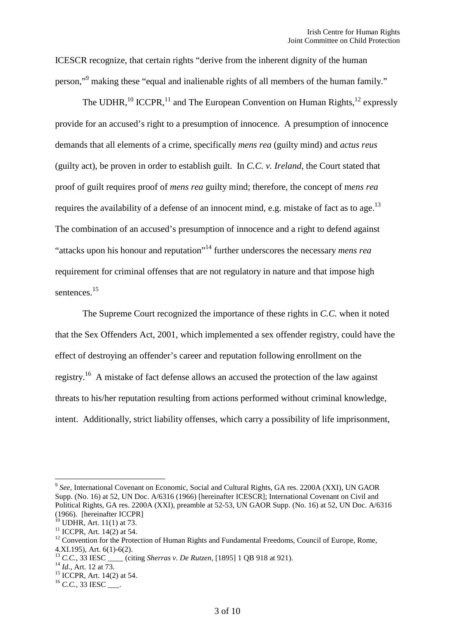ICESCR recognize, that certain rights "derive from the inherent dignity of the human person,"[9](#page-3-0) making these "equal and inalienable rights of all members of the human family."

Th[e](#page-3-3) UDHR,  $^{10}$  $^{10}$  $^{10}$  ICCPR,  $^{11}$  $^{11}$  $^{11}$  and The European Convention on Human Rights,  $^{12}$  expressly provide for an accused's right to a presumption of innocence. A presumption of innocence demands that all elements of a crime, specifically *mens rea* (guilty mind) and *actus reus* (guilty act), be proven in order to establish guilt. In *C.C. v. Ireland*, the Court stated that proof of guilt requires proof of *mens rea* guilty mind; therefore, the concept of m*ens rea* requiresthe availability of a defense of an innocent mind, e.g. mistake of fact as to age.<sup>13</sup> The combination of an accused's presumption of innocence and a right to defend against "attacks upon his honour and reputation"[14](#page-3-5) further underscores the necessary *mens rea* requirement for criminal offenses that are not regulatory in nature and that impose high sentences.<sup>[15](#page-3-6)</sup>

The Supreme Court recognized the importance of these rights in *C.C.* when it noted that the Sex Offenders Act, 2001, which implemented a sex offender registry, could have the effect of destroying an offender's career and reputation following enrollment on the registry.<sup>[16](#page-3-7)</sup> A mistake of fact defense allows an accused the protection of the law against threats to his/her reputation resulting from actions performed without criminal knowledge, intent. Additionally, strict liability offenses, which carry a possibility of life imprisonment,

<span id="page-3-0"></span><sup>&</sup>lt;sup>9</sup> See, International Covenant on Economic, Social and Cultural Rights, GA res. 2200A (XXI), UN GAOR Supp. (No. 16) at 52, UN Doc. A/6316 (1966) [hereinafter ICESCR]; International Covenant on Civil and Political Rights, GA res. 2200A (XXI), preamble at 52-53, UN GAOR Supp. (No. 16) at 52, UN Doc. A/6316 (1966). [hereinafter ICCPR]

<span id="page-3-2"></span><span id="page-3-1"></span> $10$  UDHR, Art. 11(1) at 73.

 $11$  ICCPR, Art. 14(2) at 54.

<span id="page-3-3"></span><sup>&</sup>lt;sup>12</sup> Convention for the Protection of Human Rights and Fundamental Freedoms, Council of Europe, Rome, 4.XI.195), Art. 6(1)-6(2).

<span id="page-3-4"></span><sup>&</sup>lt;sup>13</sup> *C.C.*, 33 IESC \_\_\_\_\_ (citing *Sherras v. De Rutzen*, [1895] 1 QB 918 at 921).

<span id="page-3-5"></span><sup>14</sup> *Id*., Art. 12 at 73.

<span id="page-3-6"></span><sup>15</sup> ICCPR, Art. 14(2) at 54.

<span id="page-3-7"></span><sup>&</sup>lt;sup>16</sup> C.C., 33 IESC \_\_\_.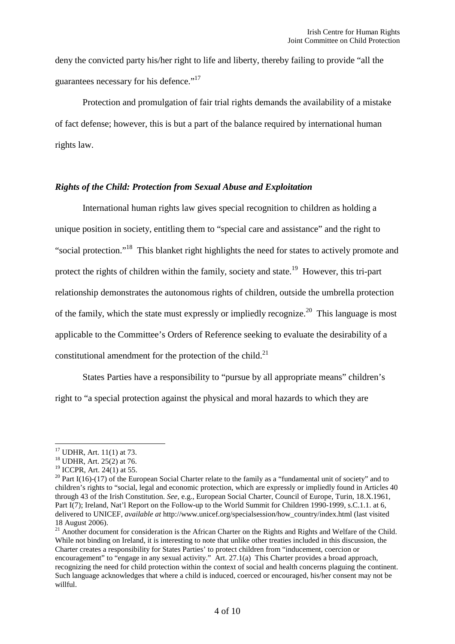deny the convicted party his/her right to life and liberty, thereby failing to provide "all the guarantees necessary for his defence."<sup>[17](#page-4-0)</sup>

Protection and promulgation of fair trial rights demands the availability of a mistake of fact defense; however, this is but a part of the balance required by international human rights law.

### *Rights of the Child: Protection from Sexual Abuse and Exploitation*

International human rights law gives special recognition to children as holding a unique position in society, entitling them to "special care and assistance" and the right to "social protection."[18](#page-4-1) This blanket right highlights the need for states to actively promote and protectthe rights of children within the family, society and state.<sup>19</sup> However, this tri-part relationship demonstrates the autonomous rights of children, outside the umbrella protection of the family, which the state must expressly or impliedly recognize.<sup>[20](#page-4-3)</sup> This language is most applicable to the Committee's Orders of Reference seeking to evaluate the desirability of a constitutional amendment for the protection of the child.<sup>[21](#page-4-4)</sup>

States Parties have a responsibility to "pursue by all appropriate means" children's right to "a special protection against the physical and moral hazards to which they are

<span id="page-4-0"></span><sup>17</sup> UDHR, Art. 11(1) at 73.

<span id="page-4-1"></span><sup>18</sup> UDHR, Art. 25(2) at 76.

<span id="page-4-3"></span><span id="page-4-2"></span><sup>&</sup>lt;sup>19</sup> ICCPR, Art. 24(1) at 55.

<sup>&</sup>lt;sup>20</sup> Part I(16)-(17) of the European Social Charter relate to the family as a "fundamental unit of society" and to children's rights to "social, legal and economic protection, which are expressly or impliedly found in Articles 40 through 43 of the Irish Constitution. *See*, e.g., European Social Charter, Council of Europe, Turin, 18.X.1961, Part I(7); Ireland, Nat'l Report on the Follow-up to the World Summit for Children 1990-1999, s.C.1.1. at 6, delivered to UNICEF, *available at* http://www.unicef.org/specialsession/how\_country/index.html (last visited 18 August 2006).

<span id="page-4-4"></span><sup>&</sup>lt;sup>21</sup> Another document for consideration is the African Charter on the Rights and Rights and Welfare of the Child. While not binding on Ireland, it is interesting to note that unlike other treaties included in this discussion, the Charter creates a responsibility for States Parties' to protect children from "inducement, coercion or encouragement" to "engage in any sexual activity." Art. 27.1(a) This Charter provides a broad approach, recognizing the need for child protection within the context of social and health concerns plaguing the continent. Such language acknowledges that where a child is induced, coerced or encouraged, his/her consent may not be willful.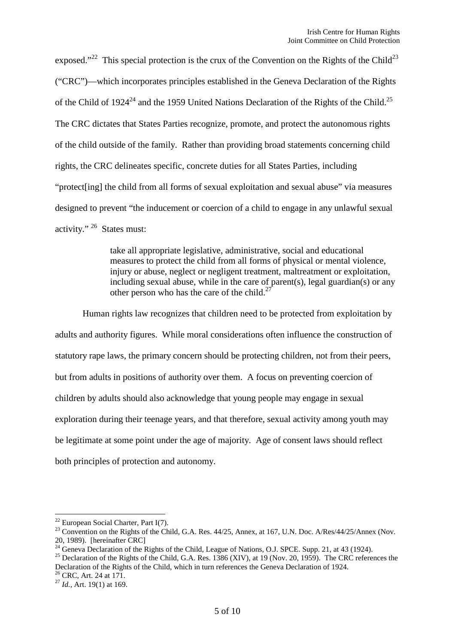exposed."<sup>[22](#page-5-0)</sup> This special protection is the crux of the Convention on the Rights of the Child<sup>[23](#page-5-1)</sup> ("CRC")—which incorporates principles established in the Geneva Declaration of the Rights ofthe Child of  $1924^{24}$  and the 1959 United Nations Declaration of the Rights of the Child.<sup>[25](#page-5-3)</sup> The CRC dictates that States Parties recognize, promote, and protect the autonomous rights of the child outside of the family. Rather than providing broad statements concerning child rights, the CRC delineates specific, concrete duties for all States Parties, including "protect[ing] the child from all forms of sexual exploitation and sexual abuse" via measures designed to prevent "the inducement or coercion of a child to engage in any unlawful sexual activity." [26](#page-5-4) States must:

> take all appropriate legislative, administrative, social and educational measures to protect the child from all forms of physical or mental violence, injury or abuse, neglect or negligent treatment, maltreatment or exploitation, including sexual abuse, while in the care of parent(s), legal guardian(s) or any other person who has the care of the child.<sup>[27](#page-5-5)</sup>

Human rights law recognizes that children need to be protected from exploitation by adults and authority figures. While moral considerations often influence the construction of statutory rape laws, the primary concern should be protecting children, not from their peers, but from adults in positions of authority over them. A focus on preventing coercion of children by adults should also acknowledge that young people may engage in sexual exploration during their teenage years, and that therefore, sexual activity among youth may be legitimate at some point under the age of majority. Age of consent laws should reflect both principles of protection and autonomy.

<span id="page-5-0"></span> $22$  European Social Charter, Part I(7).

<span id="page-5-1"></span><sup>&</sup>lt;sup>23</sup> Convention on the Rights of the Child, G.A. Res. 44/25, Annex, at 167, U.N. Doc. A/Res/44/25/Annex (Nov. 20, 1989). [hereinafter CRC]

<span id="page-5-2"></span><sup>&</sup>lt;sup>24</sup> Geneva Declaration of the Rights of the Child, League of Nations, O.J. SPCE. Supp. 21, at 43 (1924).

<span id="page-5-3"></span><sup>&</sup>lt;sup>25</sup> Declaration of the Rights of the Child, G.A. Res. 1386 (XIV), at 19 (Nov. 20, 1959). The CRC references the Declaration of the Rights of the Child, which in turn references the Geneva Declaration of 1924.

<span id="page-5-5"></span><span id="page-5-4"></span><sup>&</sup>lt;sup>26</sup> CRC, Art. 24 at 171.

<sup>27</sup> *Id.*, Art. 19(1) at 169.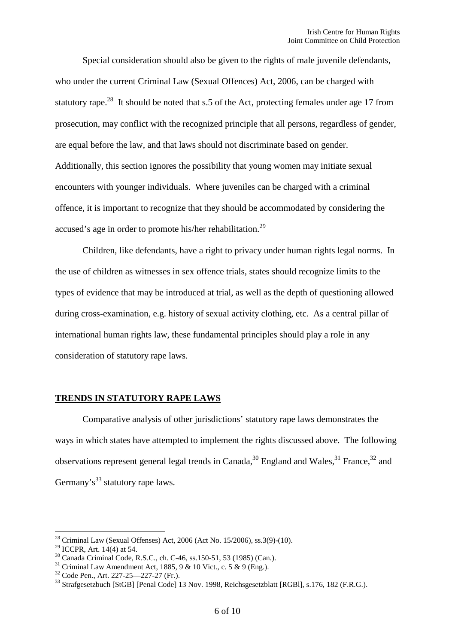Special consideration should also be given to the rights of male juvenile defendants, who under the current Criminal Law (Sexual Offences) Act, 2006, can be charged with statutoryrape.<sup>28</sup> It should be noted that s.5 of the Act, protecting females under age 17 from prosecution, may conflict with the recognized principle that all persons, regardless of gender, are equal before the law, and that laws should not discriminate based on gender. Additionally, this section ignores the possibility that young women may initiate sexual encounters with younger individuals. Where juveniles can be charged with a criminal offence, it is important to recognize that they should be accommodated by considering the accused's age in order to promote his/her rehabilitation.<sup>[29](#page-6-1)</sup>

Children, like defendants, have a right to privacy under human rights legal norms. In the use of children as witnesses in sex offence trials, states should recognize limits to the types of evidence that may be introduced at trial, as well as the depth of questioning allowed during cross-examination, e.g. history of sexual activity clothing, etc. As a central pillar of international human rights law, these fundamental principles should play a role in any consideration of statutory rape laws.

# **TRENDS IN STATUTORY RAPE LAWS**

Comparative analysis of other jurisdictions' statutory rape laws demonstrates the ways in which states have attempted to implement the rights discussed above. The following observations represent general legal trends in Canada,  $30$  England and Wales,  $31$  France,  $32$  and Germany's<sup>[33](#page-6-5)</sup> statutory rape laws.

<span id="page-6-0"></span><sup>&</sup>lt;sup>28</sup> Criminal Law (Sexual Offenses) Act, 2006 (Act No. 15/2006), ss.3(9)-(10).

<span id="page-6-1"></span><sup>29</sup> ICCPR, Art. 14(4) at 54.

<span id="page-6-2"></span><sup>30</sup> Canada Criminal Code, R.S.C., ch. C-46, ss.150-51, 53 (1985) (Can.).

<span id="page-6-3"></span><sup>&</sup>lt;sup>31</sup> Criminal Law Amendment Act, 1885, 9 & 10 Vict., c. 5 & 9 (Eng.).

<span id="page-6-5"></span><span id="page-6-4"></span><sup>32</sup> Code Pen., Art. 227-25—227-27 (Fr.).

<sup>&</sup>lt;sup>33</sup> Strafgesetzbuch [StGB] [Penal Code] 13 Nov. 1998, Reichsgesetzblatt [RGBI], s.176, 182 (F.R.G.).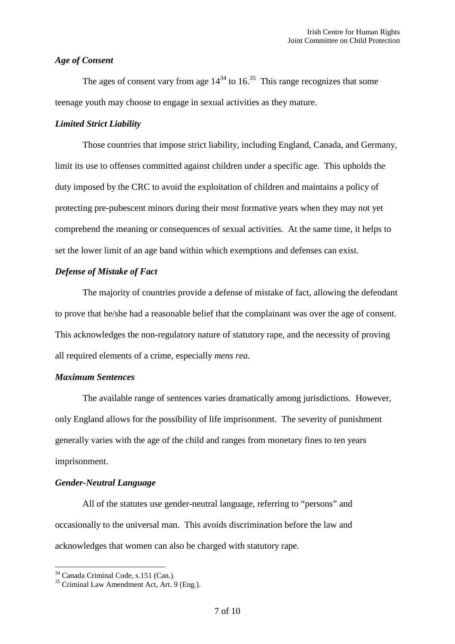### *Age of Consent*

Theages of consent vary from age  $14^{34}$  to  $16^{35}$  This range recognizes that some teenage youth may choose to engage in sexual activities as they mature.

### *Limited Strict Liability*

Those countries that impose strict liability, including England, Canada, and Germany, limit its use to offenses committed against children under a specific age. This upholds the duty imposed by the CRC to avoid the exploitation of children and maintains a policy of protecting pre-pubescent minors during their most formative years when they may not yet comprehend the meaning or consequences of sexual activities. At the same time, it helps to set the lower limit of an age band within which exemptions and defenses can exist.

## *Defense of Mistake of Fact*

The majority of countries provide a defense of mistake of fact, allowing the defendant to prove that he/she had a reasonable belief that the complainant was over the age of consent. This acknowledges the non-regulatory nature of statutory rape, and the necessity of proving all required elements of a crime, especially *mens rea*.

## *Maximum Sentences*

The available range of sentences varies dramatically among jurisdictions. However, only England allows for the possibility of life imprisonment. The severity of punishment generally varies with the age of the child and ranges from monetary fines to ten years imprisonment.

#### *Gender-Neutral Language*

All of the statutes use gender-neutral language, referring to "persons" and occasionally to the universal man. This avoids discrimination before the law and acknowledges that women can also be charged with statutory rape.

<span id="page-7-0"></span><sup>34</sup> Canada Criminal Code, s.151 (Can.).

<span id="page-7-1"></span><sup>35</sup> Criminal Law Amendment Act, Art. 9 (Eng.).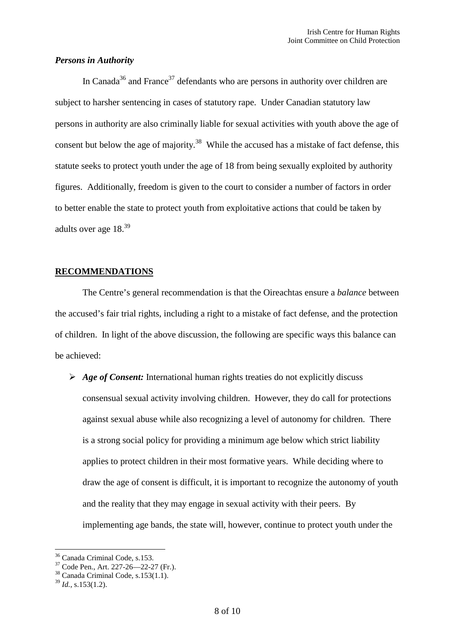#### *Persons in Authority*

In Canada<sup>[36](#page-8-0)</sup> and France<sup>[37](#page-8-1)</sup> defendants who are persons in authority over children are subject to harsher sentencing in cases of statutory rape. Under Canadian statutory law persons in authority are also criminally liable for sexual activities with youth above the age of consent but below the age of majority.<sup>[38](#page-8-2)</sup> While the accused has a mistake of fact defense, this statute seeks to protect youth under the age of 18 from being sexually exploited by authority figures. Additionally, freedom is given to the court to consider a number of factors in order to better enable the state to protect youth from exploitative actions that could be taken by adultsover age 18.<sup>39</sup>

## **RECOMMENDATIONS**

The Centre's general recommendation is that the Oireachtas ensure a *balance* between the accused's fair trial rights, including a right to a mistake of fact defense, and the protection of children. In light of the above discussion, the following are specific ways this balance can be achieved:

 *Age of Consent:* International human rights treaties do not explicitly discuss consensual sexual activity involving children. However, they do call for protections against sexual abuse while also recognizing a level of autonomy for children. There is a strong social policy for providing a minimum age below which strict liability applies to protect children in their most formative years. While deciding where to draw the age of consent is difficult, it is important to recognize the autonomy of youth and the reality that they may engage in sexual activity with their peers. By implementing age bands, the state will, however, continue to protect youth under the

<span id="page-8-0"></span><sup>36</sup> Canada Criminal Code, s.153.

<span id="page-8-1"></span><sup>&</sup>lt;sup>37</sup> Code Pen., Art. 227-26—22-27 (Fr.).

<span id="page-8-2"></span><sup>38</sup> Canada Criminal Code, s.153(1.1).

<span id="page-8-3"></span><sup>39</sup> *Id.*, s.153(1.2).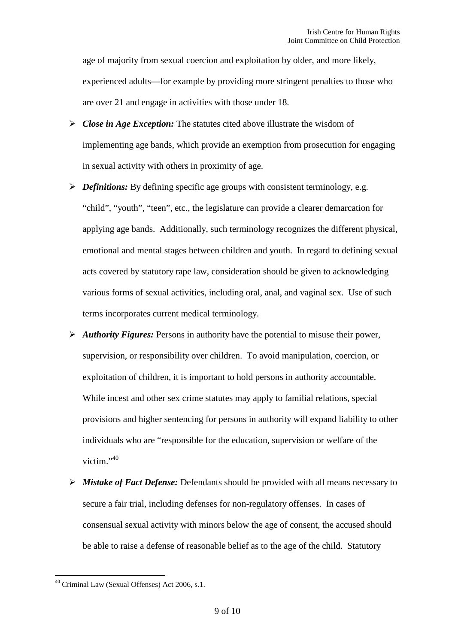age of majority from sexual coercion and exploitation by older, and more likely, experienced adults—for example by providing more stringent penalties to those who are over 21 and engage in activities with those under 18.

- *Close in Age Exception:* The statutes cited above illustrate the wisdom of implementing age bands, which provide an exemption from prosecution for engaging in sexual activity with others in proximity of age.
- *Pefinitions:* By defining specific age groups with consistent terminology, e.g. "child", "youth", "teen", etc., the legislature can provide a clearer demarcation for applying age bands. Additionally, such terminology recognizes the different physical, emotional and mental stages between children and youth. In regard to defining sexual acts covered by statutory rape law, consideration should be given to acknowledging various forms of sexual activities, including oral, anal, and vaginal sex. Use of such terms incorporates current medical terminology.
- *Authority Figures:* Persons in authority have the potential to misuse their power, supervision, or responsibility over children. To avoid manipulation, coercion, or exploitation of children, it is important to hold persons in authority accountable. While incest and other sex crime statutes may apply to familial relations, special provisions and higher sentencing for persons in authority will expand liability to other individuals who are "responsible for the education, supervision or welfare of the victim."<sup>[40](#page-9-0)</sup>
- *Mistake of Fact Defense:* Defendants should be provided with all means necessary to secure a fair trial, including defenses for non-regulatory offenses. In cases of consensual sexual activity with minors below the age of consent, the accused should be able to raise a defense of reasonable belief as to the age of the child. Statutory

<span id="page-9-0"></span><sup>40</sup> Criminal Law (Sexual Offenses) Act 2006, s.1.